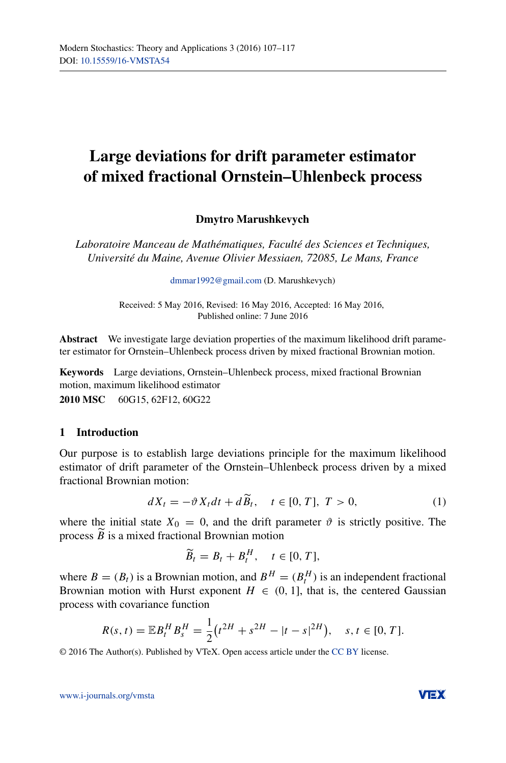# **Large deviations for drift parameter estimator of mixed fractional Ornstein–Uhlenbeck process**

# **Dmytro Marushkevych**

*Laboratoire Manceau de Mathématiques, Faculté des Sciences et Techniques, Université du Maine, Avenue Olivier Messiaen, 72085, Le Mans, France*

[dmmar1992@gmail.com](mailto:dmmar1992@gmail.com) (D. Marushkevych)

Received: 5 May 2016, Revised: 16 May 2016, Accepted: 16 May 2016, Published online: 7 June 2016

**Abstract** We investigate large deviation properties of the maximum likelihood drift parameter estimator for Ornstein–Uhlenbeck process driven by mixed fractional Brownian motion.

**Keywords** Large deviations, Ornstein–Uhlenbeck process, mixed fractional Brownian motion, maximum likelihood estimator **2010 MSC** 60G15, 62F12, 60G22

## **1 Introduction**

Our purpose is to establish large deviations principle for the maximum likelihood estimator of drift parameter of the Ornstein–Uhlenbeck process driven by a mixed fractional Brownian motion:

<span id="page-0-0"></span>
$$
dX_t = -\vartheta X_t dt + d\widetilde{B}_t, \quad t \in [0, T], \ T > 0,
$$
\n<sup>(1)</sup>

where the initial state  $X_0 = 0$ , and the drift parameter  $\vartheta$  is strictly positive. The process *B* is a mixed fractional Brownian motion

$$
\widetilde{B}_t = B_t + B_t^H, \quad t \in [0, T],
$$

where  $B = (B_t)$  is a Brownian motion, and  $B^H = (B_t^H)$  is an independent fractional Brownian motion with Hurst exponent  $H \in (0, 1]$ , that is, the centered Gaussian process with covariance function

$$
R(s,t) = \mathbb{E}B_t^H B_s^H = \frac{1}{2}(t^{2H} + s^{2H} - |t - s|^{2H}), \quad s, t \in [0, T].
$$

© 2016 The Author(s). Published by VTeX. Open access article under the [CC BY](http://creativecommons.org/licenses/by/4.0/) license.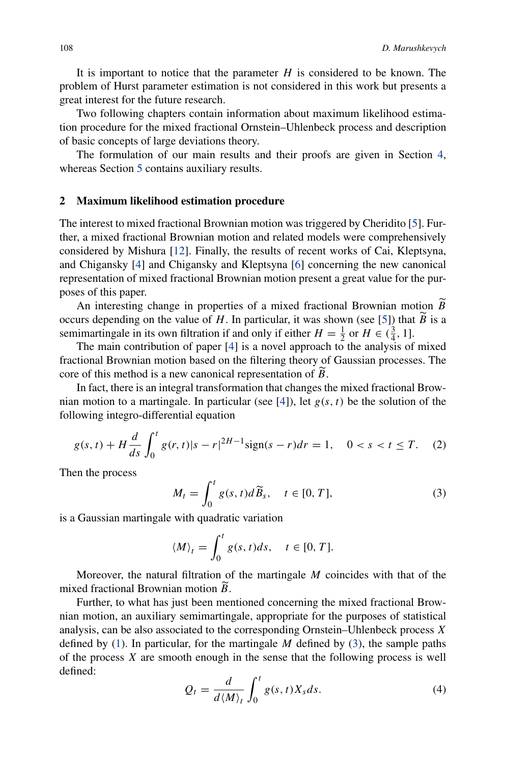It is important to notice that the parameter  $H$  is considered to be known. The problem of Hurst parameter estimation is not considered in this work but presents a great interest for the future research.

Two following chapters contain information about maximum likelihood estimation procedure for the mixed fractional Ornstein–Uhlenbeck process and description of basic concepts of large deviations theory.

The formulation of our main results and their proofs are given in Section [4,](#page-4-0) whereas Section [5](#page-6-0) contains auxiliary results.

#### **2 Maximum likelihood estimation procedure**

The interest to mixed fractional Brownian motion was triggered by Cheridito [\[5](#page-10-0)]. Further, a mixed fractional Brownian motion and related models were comprehensively considered by Mishura [\[12](#page-10-1)]. Finally, the results of recent works of Cai, Kleptsyna, and Chigansky [\[4](#page-10-2)] and Chigansky and Kleptsyna [\[6](#page-10-3)] concerning the new canonical representation of mixed fractional Brownian motion present a great value for the purposes of this paper.

An interesting change in properties of a mixed fractional Brownian motion *B* occurs depending on the value of *H*. In particular, it was shown (see [\[5](#page-10-0)]) that *B* is a semimartingale in its own filtration if and only if either  $H = \frac{1}{2}$  or  $H \in (\frac{3}{4}, 1]$ .

The main contribution of paper [\[4](#page-10-2)] is a novel approach to the analysis of mixed fractional Brownian motion based on the filtering theory of Gaussian processes. The core of this method is a new canonical representation of *B* -.

In fact, there is an integral transformation that changes the mixed fractional Brownian motion to a martingale. In particular (see  $[4]$  $[4]$ ), let  $g(s, t)$  be the solution of the following integro-differential equation

<span id="page-1-1"></span>
$$
g(s,t) + H\frac{d}{ds} \int_0^t g(r,t)|s-r|^{2H-1} \text{sign}(s-r)dr = 1, \quad 0 < s < t \le T. \tag{2}
$$

Then the process

<span id="page-1-0"></span>
$$
M_t = \int_0^t g(s, t) d\widetilde{B}_s, \quad t \in [0, T], \tag{3}
$$

is a Gaussian martingale with quadratic variation

$$
\langle M \rangle_t = \int_0^t g(s, t) ds, \quad t \in [0, T].
$$

Moreover, the natural filtration of the martingale *M* coincides with that of the mixed fractional Brownian motion *B* -.

Further, to what has just been mentioned concerning the mixed fractional Brownian motion, an auxiliary semimartingale, appropriate for the purposes of statistical analysis, can be also associated to the corresponding Ornstein–Uhlenbeck process *X* defined by [\(1\)](#page-0-0). In particular, for the martingale *M* defined by [\(3\)](#page-1-0), the sample paths of the process *X* are smooth enough in the sense that the following process is well defined:

<span id="page-1-2"></span>
$$
Q_t = \frac{d}{d \langle M \rangle_t} \int_0^t g(s, t) X_s ds. \tag{4}
$$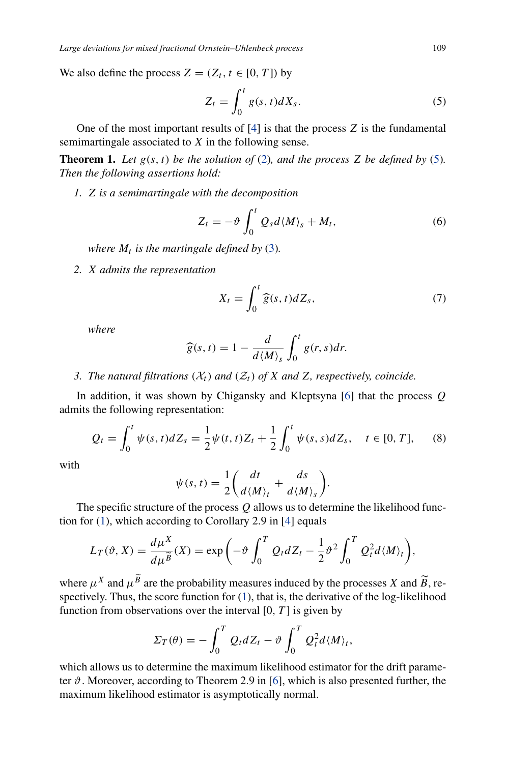We also define the process  $Z = (Z_t, t \in [0, T])$  by

<span id="page-2-0"></span>
$$
Z_t = \int_0^t g(s, t) dX_s. \tag{5}
$$

One of the most important results of [\[4](#page-10-2)] is that the process *Z* is the fundamental semimartingale associated to *X* in the following sense.

**Theorem 1.** Let  $g(s, t)$  be the solution of [\(2\)](#page-1-1), and the process *Z* be defined by [\(5\)](#page-2-0). *Then the following assertions hold:*

*1. Z is a semimartingale with the decomposition*

<span id="page-2-1"></span>
$$
Z_t = -\vartheta \int_0^t Q_s d\langle M \rangle_s + M_t, \qquad (6)
$$

*where*  $M_t$  *is the martingale defined by* [\(3\)](#page-1-0).

*2. X admits the representation*

<span id="page-2-2"></span>
$$
X_t = \int_0^t \widehat{g}(s, t) dZ_s,\tag{7}
$$

*where*

$$
\widehat{g}(s,t) = 1 - \frac{d}{d\langle M \rangle_s} \int_0^t g(r,s) dr.
$$

*3. The natural filtrations*  $(X_t)$  *and*  $(Z_t)$  *of X and Z, respectively, coincide.* 

In addition, it was shown by Chigansky and Kleptsyna [\[6\]](#page-10-3) that the process *Q* admits the following representation:

<span id="page-2-3"></span>
$$
Q_t = \int_0^t \psi(s, t) dZ_s = \frac{1}{2} \psi(t, t) Z_t + \frac{1}{2} \int_0^t \psi(s, s) dZ_s, \quad t \in [0, T], \quad (8)
$$

with

$$
\psi(s,t) = \frac{1}{2} \bigg( \frac{dt}{d \langle M \rangle_t} + \frac{ds}{d \langle M \rangle_s} \bigg).
$$

The specific structure of the process *Q* allows us to determine the likelihood function for [\(1\)](#page-0-0), which according to Corollary 2.9 in [\[4\]](#page-10-2) equals

$$
L_T(\vartheta, X) = \frac{d\mu^X}{d\mu^{\widetilde{B}}}(X) = \exp\left(-\vartheta \int_0^T Q_t dZ_t - \frac{1}{2}\vartheta^2 \int_0^T Q_t^2 d\langle M \rangle_t\right),
$$

where  $\mu^X$  and  $\mu^B$  are the probability measures induced by the processes *X* and  $\widetilde{B}$ , respectively. Thus, the score function for [\(1\)](#page-0-0), that is, the derivative of the log-likelihood function from observations over the interval [0*,T* ] is given by

$$
\Sigma_T(\theta) = -\int_0^T Q_t dZ_t - \vartheta \int_0^T Q_t^2 d\langle M \rangle_t,
$$

which allows us to determine the maximum likelihood estimator for the drift parameter  $\vartheta$ . Moreover, according to Theorem 2.9 in [\[6\]](#page-10-3), which is also presented further, the maximum likelihood estimator is asymptotically normal.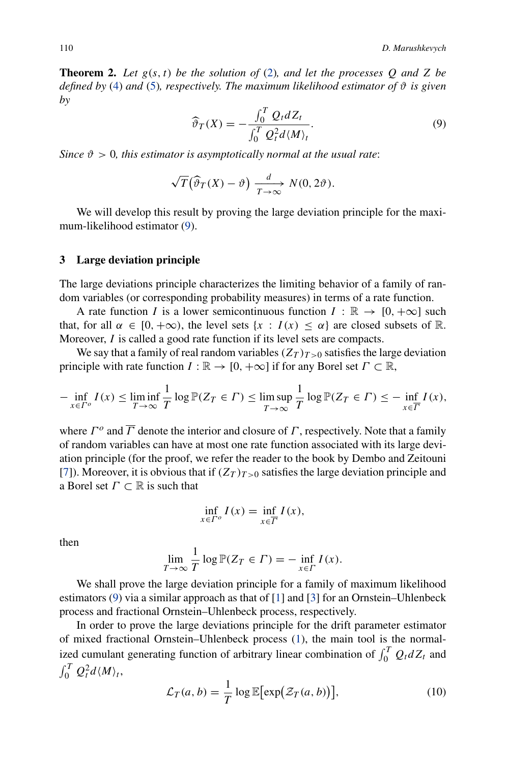**Theorem 2.** Let  $g(s, t)$  be the solution of [\(2\)](#page-1-1), and let the processes Q and Z be *defined by* [\(4\)](#page-1-2) *and* [\(5\)](#page-2-0)*, respectively. The maximum likelihood estimator of*  $\vartheta$  *is given by*

<span id="page-3-0"></span>
$$
\widehat{\vartheta}_T(X) = -\frac{\int_0^T Q_t dZ_t}{\int_0^T Q_t^2 d\langle M \rangle_t}.
$$
\n(9)

*Since*  $\vartheta > 0$ *, this estimator is asymptotically normal at the usual rate:* 

$$
\sqrt{T}(\widehat{\vartheta}_T(X)-\vartheta)\xrightarrow[T\to\infty]{d} N(0,2\vartheta).
$$

We will develop this result by proving the large deviation principle for the maximum-likelihood estimator [\(9\)](#page-3-0).

## **3 Large deviation principle**

The large deviations principle characterizes the limiting behavior of a family of random variables (or corresponding probability measures) in terms of a rate function.

A rate function *I* is a lower semicontinuous function  $I : \mathbb{R} \to [0, +\infty]$  such that, for all  $\alpha \in [0, +\infty)$ , the level sets  $\{x : I(x) \leq \alpha\}$  are closed subsets of R. Moreover, *I* is called a good rate function if its level sets are compacts.

We say that a family of real random variables  $(Z_T)_{T>0}$  satisfies the large deviation principle with rate function  $I : \mathbb{R} \to [0, +\infty]$  if for any Borel set  $\Gamma \subset \mathbb{R}$ ,

$$
-\inf_{x\in\Gamma^o} I(x) \le \liminf_{T\to\infty} \frac{1}{T} \log \mathbb{P}(Z_T \in \Gamma) \le \limsup_{T\to\infty} \frac{1}{T} \log \mathbb{P}(Z_T \in \Gamma) \le -\inf_{x\in\overline{\Gamma}} I(x),
$$

where  $\Gamma$ <sup>o</sup> and  $\overline{\Gamma}$  denote the interior and closure of  $\Gamma$ , respectively. Note that a family of random variables can have at most one rate function associated with its large deviation principle (for the proof, we refer the reader to the book by Dembo and Zeitouni [\[7](#page-10-4)]). Moreover, it is obvious that if  $(Z_T)_{T>0}$  satisfies the large deviation principle and a Borel set *Γ* ⊂ R is such that

$$
\inf_{x \in \Gamma^o} I(x) = \inf_{x \in \overline{\Gamma}} I(x),
$$

then

$$
\lim_{T \to \infty} \frac{1}{T} \log \mathbb{P}(Z_T \in \Gamma) = - \inf_{x \in \Gamma} I(x).
$$

We shall prove the large deviation principle for a family of maximum likelihood estimators [\(9\)](#page-3-0) via a similar approach as that of [\[1](#page-9-0)] and [\[3\]](#page-10-5) for an Ornstein–Uhlenbeck process and fractional Ornstein–Uhlenbeck process, respectively.

In order to prove the large deviations principle for the drift parameter estimator of mixed fractional Ornstein–Uhlenbeck process [\(1\)](#page-0-0), the main tool is the normalized cumulant generating function of arbitrary linear combination of  $\int_0^T Q_t dZ_t$  and  $\int_0^T Q_t^2 d\langle M \rangle_t$ 

<span id="page-3-1"></span>
$$
\mathcal{L}_T(a,b) = \frac{1}{T} \log \mathbb{E}[\exp(\mathcal{Z}_T(a,b))],\tag{10}
$$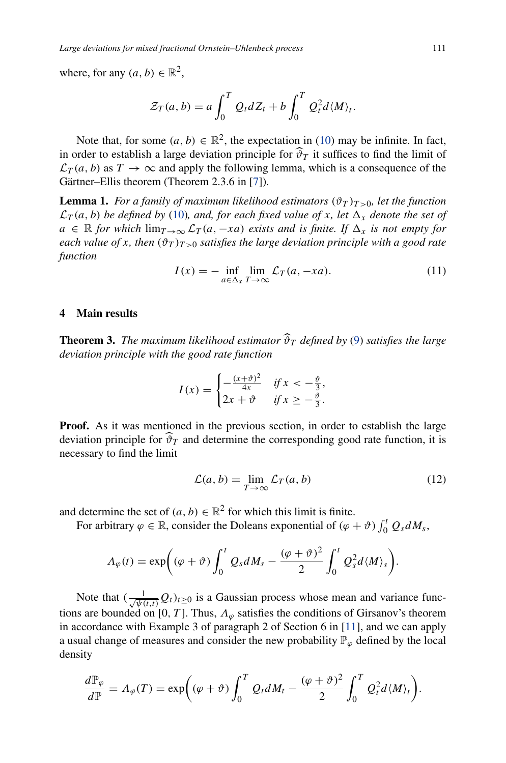where, for any  $(a, b) \in \mathbb{R}^2$ ,

$$
\mathcal{Z}_T(a,b) = a \int_0^T Q_t dZ_t + b \int_0^T Q_t^2 d\langle M \rangle_t.
$$

Note that, for some  $(a, b) \in \mathbb{R}^2$ , the expectation in [\(10\)](#page-3-1) may be infinite. In fact, in order to establish a large deviation principle for  $\widehat{\vartheta}_T$  it suffices to find the limit of  $\mathcal{L}_T(a, b)$  as  $T \to \infty$  and apply the following lemma, which is a consequence of the Gärtner–Ellis theorem (Theorem 2.3.6 in [\[7\]](#page-10-4)).

<span id="page-4-2"></span>**Lemma 1.** *For a family of maximum likelihood estimators*  $(\vartheta_T)_{T>0}$ *, let the function*  $\mathcal{L}_T(a, b)$  *be defined by* [\(10\)](#page-3-1)*, and, for each fixed value of x, let*  $\Delta_x$  *denote the set of*  $a \in \mathbb{R}$  *for which* lim $T \rightarrow \infty$   $\mathcal{L}_T(a, -xa)$  *exists and is finite. If*  $\Delta_x$  *is not empty for each value of x, then*  $(\vartheta_T)_{T>0}$  *satisfies the large deviation principle with a good rate function*

<span id="page-4-3"></span>
$$
I(x) = -\inf_{a \in \Delta_x} \lim_{T \to \infty} \mathcal{L}_T(a, -xa). \tag{11}
$$

## <span id="page-4-4"></span><span id="page-4-0"></span>**4 Main results**

**Theorem 3.** *The maximum likelihood estimator*  $\widehat{\vartheta}_T$  *defined by* [\(9\)](#page-3-0) *satisfies the large deviation principle with the good rate function*

$$
I(x) = \begin{cases} -\frac{(x+\vartheta)^2}{4x} & \text{if } x < -\frac{\vartheta}{3}, \\ 2x + \vartheta & \text{if } x \ge -\frac{\vartheta}{3}. \end{cases}
$$

**Proof.** As it was mentioned in the previous section, in order to establish the large deviation principle for  $\hat{\vartheta}_T$  and determine the corresponding good rate function, it is necessary to find the limit

<span id="page-4-1"></span>
$$
\mathcal{L}(a,b) = \lim_{T \to \infty} \mathcal{L}_T(a,b) \tag{12}
$$

and determine the set of  $(a, b) \in \mathbb{R}^2$  for which this limit is finite.

For arbitrary  $\varphi \in \mathbb{R}$ , consider the Doleans exponential of  $(\varphi + \vartheta) \int_0^t Q_s dM_s$ ,

$$
\Lambda_{\varphi}(t) = \exp\bigg((\varphi + \vartheta)\int_0^t Q_s dM_s - \frac{(\varphi + \vartheta)^2}{2} \int_0^t Q_s^2 d\langle M \rangle_s\bigg).
$$

Note that  $(\frac{1}{\sqrt{\psi(t,t)}}Q_t)_{t\geq0}$  is a Gaussian process whose mean and variance functions are bounded on [0, T]. Thus,  $\Lambda_{\varphi}$  satisfies the conditions of Girsanov's theorem in accordance with Example 3 of paragraph 2 of Section 6 in [\[11\]](#page-10-6), and we can apply a usual change of measures and consider the new probability  $\mathbb{P}_{\varphi}$  defined by the local density

$$
\frac{d\mathbb{P}_{\varphi}}{d\mathbb{P}} = \Lambda_{\varphi}(T) = \exp\left((\varphi + \vartheta)\int_0^T Q_t dM_t - \frac{(\varphi + \vartheta)^2}{2}\int_0^T Q_t^2 d\langle M\rangle_t\right).
$$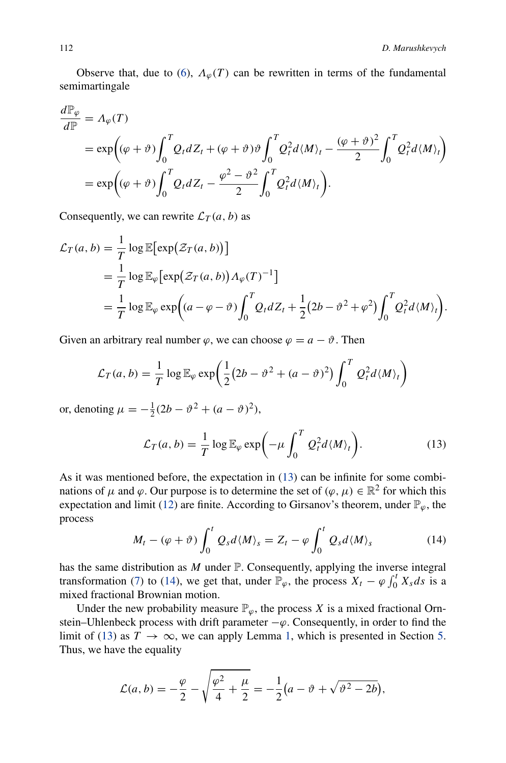Observe that, due to [\(6\)](#page-2-1),  $\Lambda_{\varphi}(T)$  can be rewritten in terms of the fundamental semimartingale

$$
\frac{d\mathbb{P}_{\varphi}}{d\mathbb{P}} = \Lambda_{\varphi}(T)
$$
\n
$$
= \exp((\varphi + \vartheta) \int_0^T Q_t dZ_t + (\varphi + \vartheta) \vartheta \int_0^T Q_t^2 d\langle M \rangle_t - \frac{(\varphi + \vartheta)^2}{2} \int_0^T Q_t^2 d\langle M \rangle_t)
$$
\n
$$
= \exp((\varphi + \vartheta) \int_0^T Q_t dZ_t - \frac{\varphi^2 - \vartheta^2}{2} \int_0^T Q_t^2 d\langle M \rangle_t).
$$

Consequently, we can rewrite  $\mathcal{L}_T(a, b)$  as

$$
\mathcal{L}_T(a, b) = \frac{1}{T} \log \mathbb{E}[\exp(\mathcal{Z}_T(a, b))]
$$
  
=  $\frac{1}{T} \log \mathbb{E}_{\varphi}[\exp(\mathcal{Z}_T(a, b)) \Lambda_{\varphi}(T)^{-1}]$   
=  $\frac{1}{T} \log \mathbb{E}_{\varphi} \exp((a - \varphi - \vartheta) \int_0^T Q_t dZ_t + \frac{1}{2}(2b - \vartheta^2 + \varphi^2) \int_0^T Q_t^2 d\langle M \rangle_t).$ 

Given an arbitrary real number  $\varphi$ , we can choose  $\varphi = a - \vartheta$ . Then

$$
\mathcal{L}_T(a,b) = \frac{1}{T} \log \mathbb{E}_{\varphi} \exp \left( \frac{1}{2} (2b - \vartheta^2 + (a - \vartheta)^2) \int_0^T Q_t^2 d \langle M \rangle_t \right)
$$

or, denoting  $\mu = -\frac{1}{2}(2b - \vartheta^2 + (a - \vartheta)^2)$ ,

<span id="page-5-0"></span>
$$
\mathcal{L}_T(a,b) = \frac{1}{T} \log \mathbb{E}_{\varphi} \exp\biggl(-\mu \int_0^T Q_t^2 d\langle M \rangle_t\biggr).
$$
 (13)

As it was mentioned before, the expectation in [\(13\)](#page-5-0) can be infinite for some combinations of  $\mu$  and  $\varphi$ . Our purpose is to determine the set of  $(\varphi, \mu) \in \mathbb{R}^2$  for which this expectation and limit [\(12\)](#page-4-1) are finite. According to Girsanov's theorem, under  $\mathbb{P}_{\varphi}$ , the process

<span id="page-5-1"></span>
$$
M_t - (\varphi + \vartheta) \int_0^t Q_s d\langle M \rangle_s = Z_t - \varphi \int_0^t Q_s d\langle M \rangle_s \tag{14}
$$

has the same distribution as *M* under P. Consequently, applying the inverse integral transformation [\(7\)](#page-2-2) to [\(14\)](#page-5-1), we get that, under  $\mathbb{P}_{\varphi}$ , the process  $X_t - \varphi \int_0^t X_s ds$  is a mixed fractional Brownian motion.

Under the new probability measure  $\mathbb{P}_{\varphi}$ , the process *X* is a mixed fractional Ornstein–Uhlenbeck process with drift parameter  $-\varphi$ . Consequently, in order to find the limit of [\(13\)](#page-5-0) as  $T \to \infty$ , we can apply Lemma [1,](#page-4-2) which is presented in Section [5.](#page-6-0) Thus, we have the equality

$$
\mathcal{L}(a,b) = -\frac{\varphi}{2} - \sqrt{\frac{\varphi^2}{4} + \frac{\mu}{2}} = -\frac{1}{2}(a - \vartheta + \sqrt{\vartheta^2 - 2b}),
$$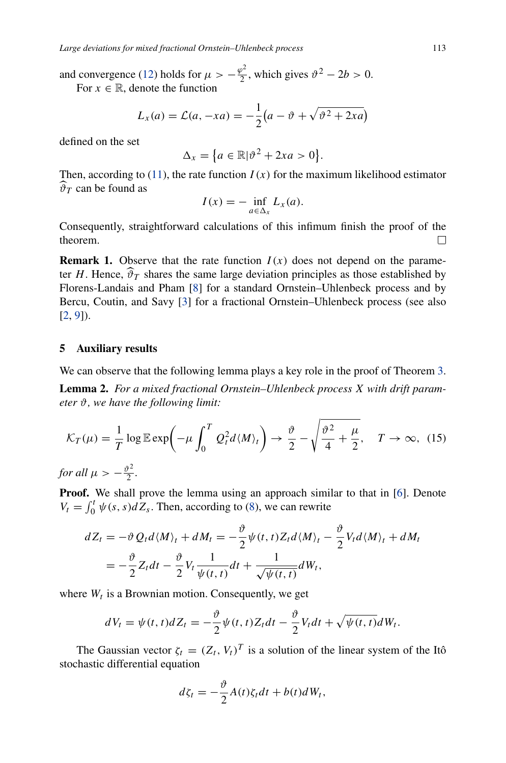and convergence [\(12\)](#page-4-1) holds for  $\mu > -\frac{\varphi^2}{2}$ , which gives  $\vartheta^2 - 2b > 0$ . For  $x \in \mathbb{R}$ , denote the function

$$
L_x(a) = \mathcal{L}(a, -xa) = -\frac{1}{2}(a - \vartheta + \sqrt{\vartheta^2 + 2xa})
$$

defined on the set

$$
\Delta_x = \big\{ a \in \mathbb{R} \vert \vartheta^2 + 2xa > 0 \big\}.
$$

Then, according to [\(11\)](#page-4-3), the rate function  $I(x)$  for the maximum likelihood estimator  $\widehat{\vartheta}_T$  can be found as

$$
I(x) = -\inf_{a \in \Delta_x} L_x(a).
$$

Consequently, straightforward calculations of this infimum finish the proof of the theorem. П

**Remark 1.** Observe that the rate function  $I(x)$  does not depend on the parameter *H*. Hence,  $\hat{\vartheta}_T$  shares the same large deviation principles as those established by Florens-Landais and Pham [\[8](#page-10-7)] for a standard Ornstein–Uhlenbeck process and by Bercu, Coutin, and Savy [\[3\]](#page-10-5) for a fractional Ornstein–Uhlenbeck process (see also [\[2](#page-9-1), [9](#page-10-8)]).

#### <span id="page-6-0"></span>**5 Auxiliary results**

We can observe that the following lemma plays a key role in the proof of Theorem [3.](#page-4-4)

**Lemma 2.** *For a mixed fractional Ornstein–Uhlenbeck process X with drift parameter ϑ, we have the following limit:*

<span id="page-6-1"></span>
$$
\mathcal{K}_T(\mu) = \frac{1}{T} \log \mathbb{E} \exp\left(-\mu \int_0^T Q_t^2 d\langle M \rangle_t\right) \to \frac{\vartheta}{2} - \sqrt{\frac{\vartheta^2}{4} + \frac{\mu}{2}}, \quad T \to \infty, \tag{15}
$$

*for all*  $\mu > -\frac{\vartheta^2}{2}$ .

**Proof.** We shall prove the lemma using an approach similar to that in [\[6](#page-10-3)]. Denote  $V_t = \int_0^t \psi(s, s) dZ_s$ . Then, according to [\(8\)](#page-2-3), we can rewrite

$$
dZ_t = -\vartheta Q_t d\langle M \rangle_t + dM_t = -\frac{\vartheta}{2} \psi(t, t) Z_t d\langle M \rangle_t - \frac{\vartheta}{2} V_t d\langle M \rangle_t + dM_t
$$
  
= 
$$
-\frac{\vartheta}{2} Z_t dt - \frac{\vartheta}{2} V_t \frac{1}{\psi(t, t)} dt + \frac{1}{\sqrt{\psi(t, t)}} dW_t,
$$

where  $W_t$  is a Brownian motion. Consequently, we get

$$
dV_t = \psi(t, t) dZ_t = -\frac{\vartheta}{2} \psi(t, t) Z_t dt - \frac{\vartheta}{2} V_t dt + \sqrt{\psi(t, t)} dW_t.
$$

The Gaussian vector  $\zeta_t = (Z_t, V_t)^T$  is a solution of the linear system of the Itô stochastic differential equation

$$
d\zeta_t = -\frac{\vartheta}{2}A(t)\zeta_t dt + b(t)dW_t,
$$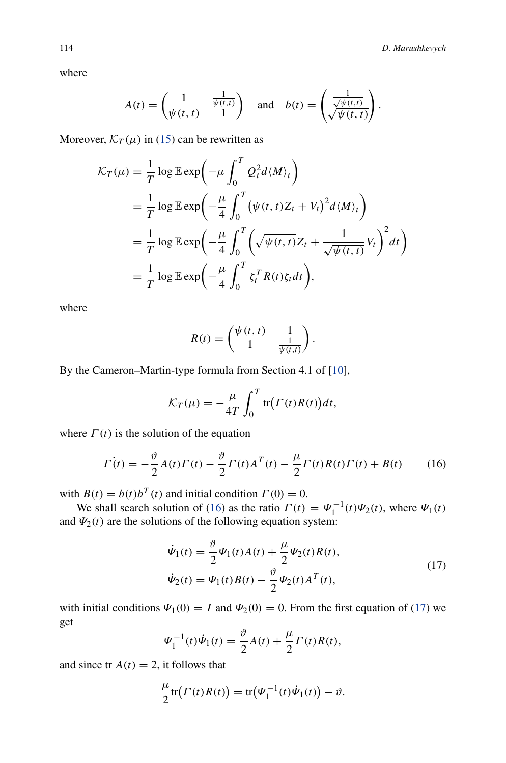where

$$
A(t) = \begin{pmatrix} 1 & \frac{1}{\psi(t,t)} \\ \psi(t,t) & 1 \end{pmatrix} \text{ and } b(t) = \begin{pmatrix} \frac{1}{\sqrt{\psi(t,t)}} \\ \sqrt{\psi(t,t)} \end{pmatrix}.
$$

Moreover,  $\mathcal{K}_T(\mu)$  in [\(15\)](#page-6-1) can be rewritten as

$$
\mathcal{K}_T(\mu) = \frac{1}{T} \log \mathbb{E} \exp\left(-\mu \int_0^T Q_t^2 d\langle M \rangle_t\right)
$$
  
\n
$$
= \frac{1}{T} \log \mathbb{E} \exp\left(-\frac{\mu}{4} \int_0^T (\psi(t, t) Z_t + V_t)^2 d\langle M \rangle_t\right)
$$
  
\n
$$
= \frac{1}{T} \log \mathbb{E} \exp\left(-\frac{\mu}{4} \int_0^T (\sqrt{\psi(t, t)} Z_t + \frac{1}{\sqrt{\psi(t, t)}} V_t)^2 dt\right)
$$
  
\n
$$
= \frac{1}{T} \log \mathbb{E} \exp\left(-\frac{\mu}{4} \int_0^T \zeta_t^T R(t) \zeta_t dt\right),
$$

where

$$
R(t) = \begin{pmatrix} \psi(t, t) & 1 \\ 1 & \frac{1}{\psi(t, t)} \end{pmatrix}.
$$

By the Cameron–Martin-type formula from Section 4.1 of [\[10](#page-10-9)],

$$
\mathcal{K}_T(\mu) = -\frac{\mu}{4T} \int_0^T \text{tr}\big(\Gamma(t)R(t)\big)dt,
$$

where  $\Gamma(t)$  is the solution of the equation

<span id="page-7-0"></span>
$$
\dot{\Gamma(t)} = -\frac{\vartheta}{2}A(t)\Gamma(t) - \frac{\vartheta}{2}\Gamma(t)A^{T}(t) - \frac{\mu}{2}\Gamma(t)R(t)\Gamma(t) + B(t)
$$
(16)

with  $B(t) = b(t)b^{T}(t)$  and initial condition  $\Gamma(0) = 0$ .

We shall search solution of [\(16\)](#page-7-0) as the ratio  $\Gamma(t) = \Psi_1^{-1}(t)\Psi_2(t)$ , where  $\Psi_1(t)$ and  $\Psi_2(t)$  are the solutions of the following equation system:

<span id="page-7-1"></span>
$$
\dot{\Psi}_1(t) = \frac{\vartheta}{2} \Psi_1(t) A(t) + \frac{\mu}{2} \Psi_2(t) R(t),
$$
  
\n
$$
\dot{\Psi}_2(t) = \Psi_1(t) B(t) - \frac{\vartheta}{2} \Psi_2(t) A^T(t),
$$
\n(17)

with initial conditions  $\Psi_1(0) = I$  and  $\Psi_2(0) = 0$ . From the first equation of [\(17\)](#page-7-1) we get

$$
\Psi_1^{-1}(t)\dot{\Psi}_1(t) = \frac{\vartheta}{2}A(t) + \frac{\mu}{2}\Gamma(t)R(t),
$$

and since  $tr A(t) = 2$ , it follows that

$$
\frac{\mu}{2} \text{tr}\bigl(\Gamma(t)R(t)\bigr) = \text{tr}\bigl(\Psi_1^{-1}(t)\dot{\Psi}_1(t)\bigr) - \vartheta.
$$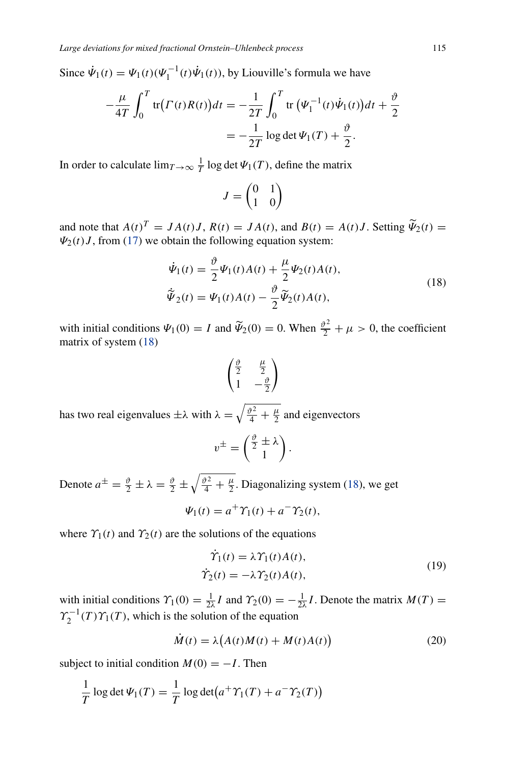Since  $\dot{\Psi}_1(t) = \Psi_1(t)(\Psi_1^{-1}(t)\dot{\Psi}_1(t))$ , by Liouville's formula we have

$$
-\frac{\mu}{4T} \int_0^T \text{tr}\big(r(t)R(t)\big)dt = -\frac{1}{2T} \int_0^T \text{tr}\big(\Psi_1^{-1}(t)\dot{\Psi}_1(t)\big)dt + \frac{\vartheta}{2}
$$

$$
= -\frac{1}{2T}\log \det \Psi_1(T) + \frac{\vartheta}{2}.
$$

In order to calculate  $\lim_{T \to \infty} \frac{1}{T} \log \det \Psi_1(T)$ , define the matrix

$$
J = \begin{pmatrix} 0 & 1 \\ 1 & 0 \end{pmatrix}
$$

and note that  $A(t)^T = JA(t)J$ ,  $R(t) = JA(t)$ , and  $B(t) = A(t)J$ . Setting  $\widetilde{\Psi}_2(t) =$  $\Psi_2(t)J$ , from [\(17\)](#page-7-1) we obtain the following equation system:

<span id="page-8-0"></span>
$$
\dot{\Psi}_1(t) = \frac{\vartheta}{2} \Psi_1(t) A(t) + \frac{\mu}{2} \Psi_2(t) A(t),
$$
\n
$$
\tilde{\Psi}_2(t) = \Psi_1(t) A(t) - \frac{\vartheta}{2} \tilde{\Psi}_2(t) A(t),
$$
\n(18)

with initial conditions  $\Psi_1(0) = I$  and  $\tilde{\Psi}_2(0) = 0$ . When  $\frac{\vartheta^2}{2} + \mu > 0$ , the coefficient matrix of system [\(18\)](#page-8-0)

$$
\begin{pmatrix}\n\frac{\vartheta}{2} & \frac{\mu}{2} \\
1 & -\frac{\vartheta}{2}\n\end{pmatrix}
$$

has two real eigenvalues  $\pm \lambda$  with  $\lambda = \sqrt{\frac{\vartheta^2}{4} + \frac{\mu}{2}}$  and eigenvectors

$$
v^{\pm} = \begin{pmatrix} \frac{\vartheta}{2} \pm \lambda \\ 1 \end{pmatrix}.
$$

Denote  $a^{\pm} = \frac{\vartheta}{2} \pm \lambda = \frac{\vartheta}{2} \pm \sqrt{\frac{\vartheta^2}{4} + \frac{\mu}{2}}$ . Diagonalizing system [\(18\)](#page-8-0), we get

$$
\Psi_1(t) = a^+ \Upsilon_1(t) + a^- \Upsilon_2(t),
$$

where  $\gamma_1(t)$  and  $\gamma_2(t)$  are the solutions of the equations

<span id="page-8-1"></span>
$$
\dot{\Upsilon}_1(t) = \lambda \Upsilon_1(t) A(t), \n\dot{\Upsilon}_2(t) = -\lambda \Upsilon_2(t) A(t),
$$
\n(19)

with initial conditions  $\gamma_1(0) = \frac{1}{2\lambda}I$  and  $\gamma_2(0) = -\frac{1}{2\lambda}I$ . Denote the matrix  $M(T) =$  $\gamma_2^{-1}(T)\gamma_1(T)$ , which is the solution of the equation

<span id="page-8-2"></span>
$$
\dot{M}(t) = \lambda \left( A(t)M(t) + M(t)A(t) \right) \tag{20}
$$

subject to initial condition  $M(0) = -I$ . Then

$$
\frac{1}{T}\log\det\Psi_1(T) = \frac{1}{T}\log\det(a^+ \Upsilon_1(T) + a^- \Upsilon_2(T))
$$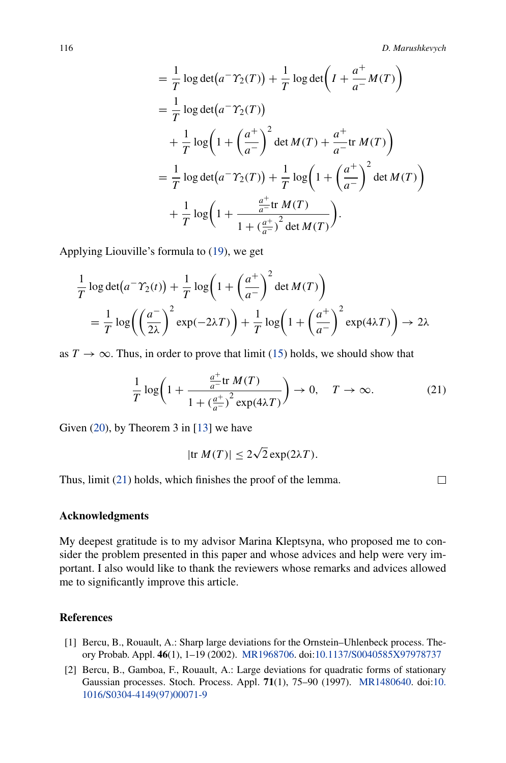$$
= \frac{1}{T} \log \det (a^{-} \Upsilon_{2}(T)) + \frac{1}{T} \log \det \left( I + \frac{a^{+}}{a^{-}} M(T) \right)
$$
  
\n
$$
= \frac{1}{T} \log \det (a^{-} \Upsilon_{2}(T))
$$
  
\n
$$
+ \frac{1}{T} \log \left( 1 + \left( \frac{a^{+}}{a^{-}} \right)^{2} \det M(T) + \frac{a^{+}}{a^{-}} \text{tr } M(T) \right)
$$
  
\n
$$
= \frac{1}{T} \log \det (a^{-} \Upsilon_{2}(T)) + \frac{1}{T} \log \left( 1 + \left( \frac{a^{+}}{a^{-}} \right)^{2} \det M(T) \right)
$$
  
\n
$$
+ \frac{1}{T} \log \left( 1 + \frac{\frac{a^{+}}{a^{-}} \text{tr } M(T)}{1 + \left( \frac{a^{+}}{a^{-}} \right)^{2} \det M(T)} \right).
$$

Applying Liouville's formula to [\(19\)](#page-8-1), we get

$$
\frac{1}{T}\log\det(a^{-\Upsilon_2(t)}) + \frac{1}{T}\log\left(1 + \left(\frac{a^{+}}{a^{-}}\right)^{2}\det M(T)\right)
$$
\n
$$
= \frac{1}{T}\log\left(\left(\frac{a^{-}}{2\lambda}\right)^{2}\exp(-2\lambda T)\right) + \frac{1}{T}\log\left(1 + \left(\frac{a^{+}}{a^{-}}\right)^{2}\exp(4\lambda T)\right) \to 2\lambda
$$

as  $T \to \infty$ . Thus, in order to prove that limit [\(15\)](#page-6-1) holds, we should show that

<span id="page-9-2"></span>
$$
\frac{1}{T}\log\left(1+\frac{\frac{a^+}{a^-}\text{tr }M(T)}{1+\left(\frac{a^+}{a^-}\right)^2\exp(4\lambda T)}\right)\to 0, \quad T\to\infty.
$$
 (21)

Given [\(20\)](#page-8-2), by Theorem 3 in [\[13\]](#page-10-10) we have

$$
|\text{tr } M(T)| \le 2\sqrt{2} \exp(2\lambda T).
$$

Thus, limit [\(21\)](#page-9-2) holds, which finishes the proof of the lemma.

 $\Box$ 

#### **Acknowledgments**

My deepest gratitude is to my advisor Marina Kleptsyna, who proposed me to consider the problem presented in this paper and whose advices and help were very important. I also would like to thank the reviewers whose remarks and advices allowed me to significantly improve this article.

### **References**

- <span id="page-9-0"></span>[1] Bercu, B., Rouault, A.: Sharp large deviations for the Ornstein–Uhlenbeck process. Theory Probab. Appl. **46**(1), 1–19 (2002). [MR1968706.](http://www.ams.org/mathscinet-getitem?mr=1968706) doi[:10.1137/S0040585X97978737](http://dx.doi.org/10.1137/S0040585X97978737)
- <span id="page-9-1"></span>[2] Bercu, B., Gamboa, F., Rouault, A.: Large deviations for quadratic forms of stationary Gaussian processes. Stoch. Process. Appl. **71**(1), 75–90 (1997). [MR1480640.](http://www.ams.org/mathscinet-getitem?mr=1480640) doi[:10.](http://dx.doi.org/10.1016/S0304-4149(97)00071-9) [1016/S0304-4149\(97\)00071-9](http://dx.doi.org/10.1016/S0304-4149(97)00071-9)